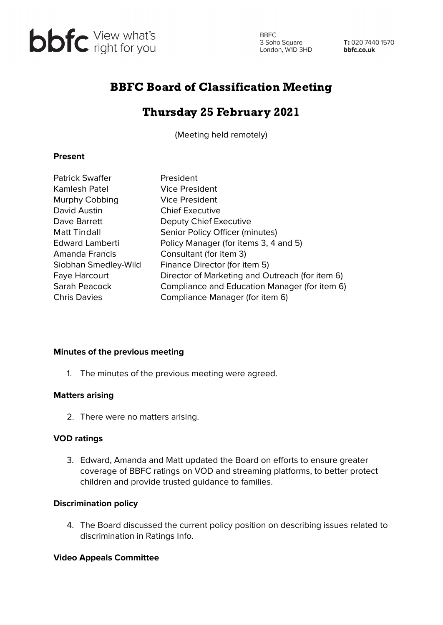

**BBFC** 3 Soho Square<br>
London, W1D 3HD<br> **bbfc.co.uk** 

# BBFC Board of Classification Meeting

# Thursday 25 February 2021

(Meeting held remotely)

### **Present**

| <b>Patrick Swaffer</b> | President                                       |
|------------------------|-------------------------------------------------|
| Kamlesh Patel          | <b>Vice President</b>                           |
| Murphy Cobbing         | <b>Vice President</b>                           |
| David Austin           | <b>Chief Executive</b>                          |
| Dave Barrett           | Deputy Chief Executive                          |
| <b>Matt Tindall</b>    | Senior Policy Officer (minutes)                 |
| <b>Edward Lamberti</b> | Policy Manager (for items 3, 4 and 5)           |
| Amanda Francis         | Consultant (for item 3)                         |
| Siobhan Smedley-Wild   | Finance Director (for item 5)                   |
| <b>Faye Harcourt</b>   | Director of Marketing and Outreach (for item 6) |
| Sarah Peacock          | Compliance and Education Manager (for item 6)   |
| <b>Chris Davies</b>    | Compliance Manager (for item 6)                 |

#### **Minutes of the previous meeting**

1. The minutes of the previous meeting were agreed.

#### **Matters arising**

2. There were no matters arising.

# **VOD ratings**

3. Edward, Amanda and Matt updated the Board on efforts to ensure greater coverage of BBFC ratings on VOD and streaming platforms, to better protect children and provide trusted guidance to families.

# **Discrimination policy**

4. The Board discussed the current policy position on describing issues related to discrimination in Ratings Info.

# **Video Appeals Committee**